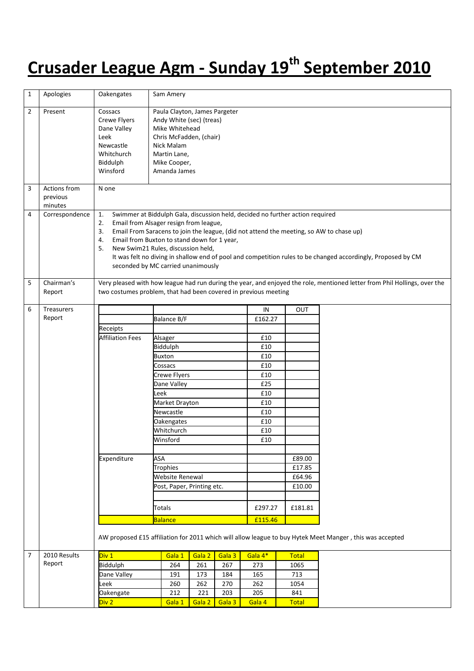## Crusader League Agm - Sunday 19<sup>th</sup> September 2010

| 1 | Apologies                                  | Oakengates                                                                                                                                                                                                                                                                                                                                                                                                                                                                                  | Sam Amery                                                                                                                                                            |        |         |            |         |              |  |  |
|---|--------------------------------------------|---------------------------------------------------------------------------------------------------------------------------------------------------------------------------------------------------------------------------------------------------------------------------------------------------------------------------------------------------------------------------------------------------------------------------------------------------------------------------------------------|----------------------------------------------------------------------------------------------------------------------------------------------------------------------|--------|---------|------------|---------|--------------|--|--|
| 2 | Present                                    | Cossacs<br><b>Crewe Flyers</b><br>Dane Valley<br>Leek<br>Newcastle<br>Whitchurch<br>Biddulph<br>Winsford                                                                                                                                                                                                                                                                                                                                                                                    | Paula Clayton, James Pargeter<br>Andy White (sec) (treas)<br>Mike Whitehead<br>Chris McFadden, (chair)<br>Nick Malam<br>Martin Lane,<br>Mike Cooper,<br>Amanda James |        |         |            |         |              |  |  |
| 3 | <b>Actions from</b><br>previous<br>minutes | N one                                                                                                                                                                                                                                                                                                                                                                                                                                                                                       |                                                                                                                                                                      |        |         |            |         |              |  |  |
| 4 | Correspondence                             | Swimmer at Biddulph Gala, discussion held, decided no further action required<br>1.<br>Email from Alsager resign from league,<br>2.<br>3.<br>Email From Saracens to join the league, (did not attend the meeting, so AW to chase up)<br>Email from Buxton to stand down for 1 year,<br>4.<br>New Swim21 Rules, discussion held,<br>5.<br>It was felt no diving in shallow end of pool and competition rules to be changed accordingly, Proposed by CM<br>seconded by MC carried unanimously |                                                                                                                                                                      |        |         |            |         |              |  |  |
| 5 | Chairman's<br>Report                       | Very pleased with how league had run during the year, and enjoyed the role, mentioned letter from Phil Hollings, over the<br>two costumes problem, that had been covered in previous meeting                                                                                                                                                                                                                                                                                                |                                                                                                                                                                      |        |         |            |         |              |  |  |
| 6 | Treasurers                                 |                                                                                                                                                                                                                                                                                                                                                                                                                                                                                             |                                                                                                                                                                      |        |         | ${\sf IN}$ |         | OUT          |  |  |
|   | Report                                     |                                                                                                                                                                                                                                                                                                                                                                                                                                                                                             | Balance B/F                                                                                                                                                          |        |         | £162.27    |         |              |  |  |
|   |                                            | Receipts                                                                                                                                                                                                                                                                                                                                                                                                                                                                                    |                                                                                                                                                                      |        |         |            |         |              |  |  |
|   |                                            | <b>Affiliation Fees</b>                                                                                                                                                                                                                                                                                                                                                                                                                                                                     | Alsager                                                                                                                                                              |        |         | £10        |         |              |  |  |
|   |                                            |                                                                                                                                                                                                                                                                                                                                                                                                                                                                                             | Biddulph                                                                                                                                                             |        |         | £10        |         |              |  |  |
|   |                                            |                                                                                                                                                                                                                                                                                                                                                                                                                                                                                             | <b>Buxton</b>                                                                                                                                                        |        | £10     |            |         |              |  |  |
|   |                                            |                                                                                                                                                                                                                                                                                                                                                                                                                                                                                             | Cossacs                                                                                                                                                              |        | £10     |            |         |              |  |  |
|   |                                            |                                                                                                                                                                                                                                                                                                                                                                                                                                                                                             | Crewe Flyers                                                                                                                                                         |        | £10     |            |         |              |  |  |
|   |                                            |                                                                                                                                                                                                                                                                                                                                                                                                                                                                                             | Dane Valley                                                                                                                                                          |        | £25     |            |         |              |  |  |
|   |                                            |                                                                                                                                                                                                                                                                                                                                                                                                                                                                                             | Leek                                                                                                                                                                 |        | £10     |            |         |              |  |  |
|   |                                            |                                                                                                                                                                                                                                                                                                                                                                                                                                                                                             | Market Drayton                                                                                                                                                       |        | £10     |            |         |              |  |  |
|   |                                            |                                                                                                                                                                                                                                                                                                                                                                                                                                                                                             | Newcastle                                                                                                                                                            |        | £10     |            |         |              |  |  |
|   |                                            |                                                                                                                                                                                                                                                                                                                                                                                                                                                                                             | Oakengates                                                                                                                                                           |        |         |            |         |              |  |  |
|   |                                            |                                                                                                                                                                                                                                                                                                                                                                                                                                                                                             | Whitchurch                                                                                                                                                           |        |         | £10        |         |              |  |  |
|   |                                            |                                                                                                                                                                                                                                                                                                                                                                                                                                                                                             | Winsford                                                                                                                                                             |        | £10     |            |         |              |  |  |
|   |                                            |                                                                                                                                                                                                                                                                                                                                                                                                                                                                                             |                                                                                                                                                                      |        |         |            |         |              |  |  |
|   |                                            | Expenditure                                                                                                                                                                                                                                                                                                                                                                                                                                                                                 | ASA                                                                                                                                                                  |        |         |            |         | £89.00       |  |  |
|   |                                            |                                                                                                                                                                                                                                                                                                                                                                                                                                                                                             | <b>Trophies</b>                                                                                                                                                      |        |         |            |         | £17.85       |  |  |
|   |                                            |                                                                                                                                                                                                                                                                                                                                                                                                                                                                                             | Website Renewal<br>Post, Paper, Printing etc.                                                                                                                        |        |         |            | £64.96  |              |  |  |
|   |                                            |                                                                                                                                                                                                                                                                                                                                                                                                                                                                                             |                                                                                                                                                                      |        |         |            | £10.00  |              |  |  |
|   | Totals                                     |                                                                                                                                                                                                                                                                                                                                                                                                                                                                                             |                                                                                                                                                                      |        | £297.27 |            | £181.81 |              |  |  |
|   |                                            |                                                                                                                                                                                                                                                                                                                                                                                                                                                                                             | Balance                                                                                                                                                              |        |         | £115.46    |         |              |  |  |
|   |                                            | AW proposed £15 affiliation for 2011 which will allow league to buy Hytek Meet Manger, this was accepted                                                                                                                                                                                                                                                                                                                                                                                    |                                                                                                                                                                      |        |         |            |         |              |  |  |
| 7 | 2010 Results                               | Div 1                                                                                                                                                                                                                                                                                                                                                                                                                                                                                       | Gala 1                                                                                                                                                               | Gala 2 | Gala 3  | Gala 4*    |         | <b>Total</b> |  |  |
|   | Report                                     | <b>Biddulph</b>                                                                                                                                                                                                                                                                                                                                                                                                                                                                             | 264                                                                                                                                                                  | 261    | 267     | 273        |         | 1065         |  |  |
|   |                                            | Dane Valley                                                                                                                                                                                                                                                                                                                                                                                                                                                                                 | 191                                                                                                                                                                  | 173    | 184     | 165        |         | 713          |  |  |
|   |                                            | Leek                                                                                                                                                                                                                                                                                                                                                                                                                                                                                        | 260                                                                                                                                                                  | 262    | 270     | 262        |         | 1054         |  |  |
|   |                                            | Oakengate                                                                                                                                                                                                                                                                                                                                                                                                                                                                                   | 212                                                                                                                                                                  | 221    | 203     | 205        |         | 841          |  |  |
|   |                                            | Div <sub>2</sub>                                                                                                                                                                                                                                                                                                                                                                                                                                                                            | Gala 1                                                                                                                                                               | Gala 2 | Gala 3  | Gala 4     |         | Total        |  |  |